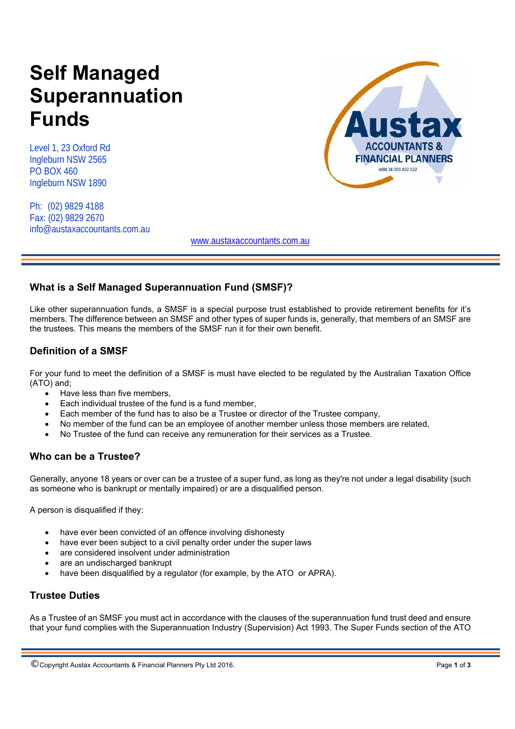# **Self Managed Superannuation Funds**

Level 1, 23 Oxford Rd Ingleburn NSW 2565 PO BOX 460 Ingleburn NSW 1890

Ph: (02) 9829 4188 Fax: (02) 9829 2670 info@austaxaccountants.com.au



www.austaxaccountants.com.au

## **What is a Self Managed Superannuation Fund (SMSF)?**

Like other superannuation funds, a SMSF is a special purpose trust established to provide retirement benefits for it's members. The difference between an SMSF and other types of super funds is, generally, that members of an SMSF are the trustees. This means the members of the SMSF run it for their own benefit.

# **Definition of a SMSF**

For your fund to meet the definition of a SMSF is must have elected to be regulated by the Australian Taxation Office (ATO) and;

- Have less than five members,
- Each individual trustee of the fund is a fund member,
- Each member of the fund has to also be a Trustee or director of the Trustee company,
- No member of the fund can be an employee of another member unless those members are related,
- No Trustee of the fund can receive any remuneration for their services as a Trustee.

## **Who can be a Trustee?**

Generally, anyone 18 years or over can be a trustee of a super fund, as long as they're not under a legal disability (such as someone who is bankrupt or mentally impaired) or are a disqualified person.

A person is disqualified if they:

- have ever been convicted of an offence involving dishonesty
- have ever been subject to a civil penalty order under the super laws
- are considered insolvent under administration
- are an undischarged bankrupt
- have been disqualified by a regulator (for example, by the ATO or APRA).

## **Trustee Duties**

As a Trustee of an SMSF you must act in accordance with the clauses of the superannuation fund trust deed and ensure that your fund complies with the Superannuation Industry (Supervision) Act 1993. The Super Funds section of the ATO

<sup>©</sup> Copyright Austax Accountants & Financial Planners Pty Ltd 2016. Page **1** of **<sup>3</sup>**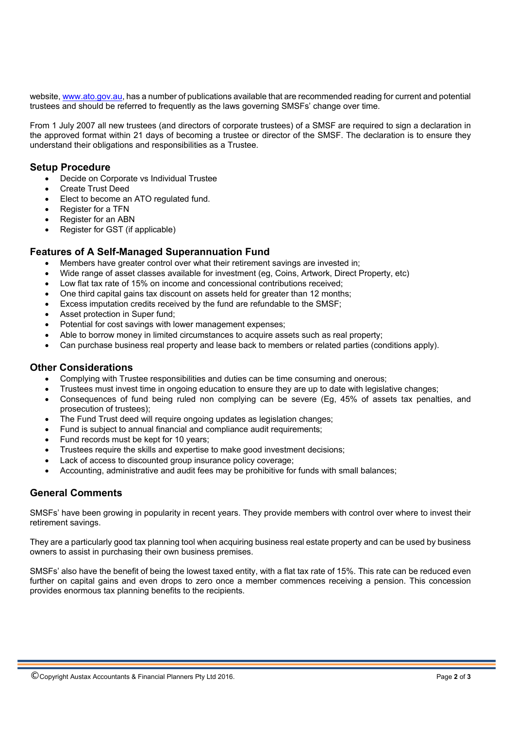website, www.ato.gov.au, has a number of publications available that are recommended reading for current and potential trustees and should be referred to frequently as the laws governing SMSFs' change over time.

From 1 July 2007 all new trustees (and directors of corporate trustees) of a SMSF are required to sign a declaration in the approved format within 21 days of becoming a trustee or director of the SMSF. The declaration is to ensure they understand their obligations and responsibilities as a Trustee.

#### **Setup Procedure**

- Decide on Corporate vs Individual Trustee
- Create Trust Deed
- Elect to become an ATO regulated fund.
- Register for a TFN
- Register for an ABN
- Register for GST (if applicable)

## **Features of A Self-Managed Superannuation Fund**

- Members have greater control over what their retirement savings are invested in;
- Wide range of asset classes available for investment (eg, Coins, Artwork, Direct Property, etc)
- Low flat tax rate of 15% on income and concessional contributions received;
- One third capital gains tax discount on assets held for greater than 12 months;
- Excess imputation credits received by the fund are refundable to the SMSF;
- Asset protection in Super fund;
- Potential for cost savings with lower management expenses;
- Able to borrow money in limited circumstances to acquire assets such as real property;
- Can purchase business real property and lease back to members or related parties (conditions apply).

#### **Other Considerations**

- Complying with Trustee responsibilities and duties can be time consuming and onerous;
- Trustees must invest time in ongoing education to ensure they are up to date with legislative changes;
- Consequences of fund being ruled non complying can be severe (Eg, 45% of assets tax penalties, and prosecution of trustees);
- The Fund Trust deed will require ongoing updates as legislation changes;
- Fund is subject to annual financial and compliance audit requirements;
- Fund records must be kept for 10 years;
- Trustees require the skills and expertise to make good investment decisions;
- Lack of access to discounted group insurance policy coverage;
- Accounting, administrative and audit fees may be prohibitive for funds with small balances;

## **General Comments**

SMSFs' have been growing in popularity in recent years. They provide members with control over where to invest their retirement savings.

They are a particularly good tax planning tool when acquiring business real estate property and can be used by business owners to assist in purchasing their own business premises.

SMSFs' also have the benefit of being the lowest taxed entity, with a flat tax rate of 15%. This rate can be reduced even further on capital gains and even drops to zero once a member commences receiving a pension. This concession provides enormous tax planning benefits to the recipients.

© Copyright Austax Accountants & Financial Planners Pty Ltd 2016. Page **2** of **<sup>3</sup>**